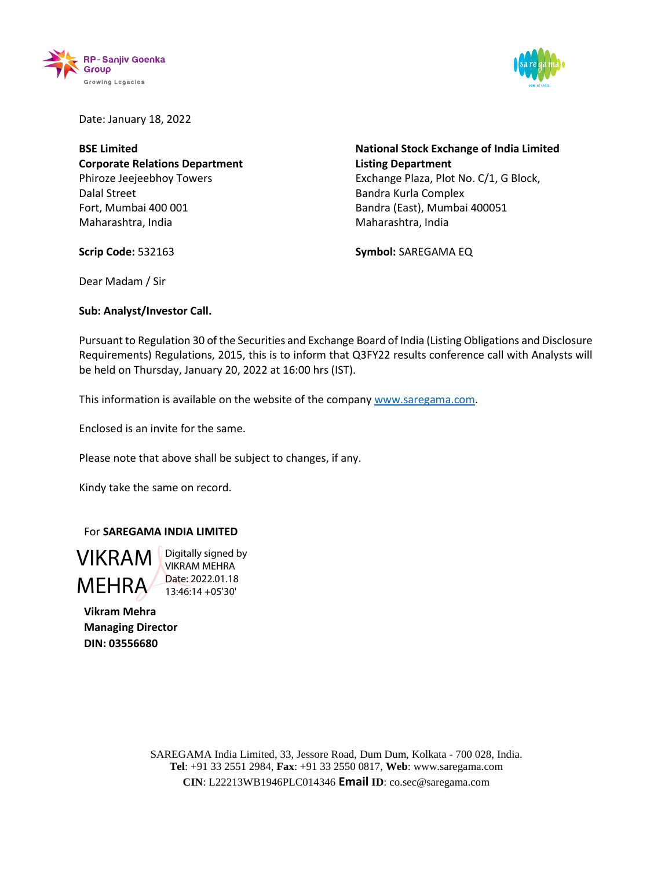



Date: January 18, 2022

**BSE Limited Corporate Relations Department** Phiroze Jeejeebhoy Towers Dalal Street Fort, Mumbai 400 001 Maharashtra, India

**National Stock Exchange of India Limited Listing Department** Exchange Plaza, Plot No. C/1, G Block, Bandra Kurla Complex Bandra (East), Mumbai 400051 Maharashtra, India

**Symbol:** SAREGAMA EQ

Dear Madam / Sir

**Scrip Code:** 532163

**Sub: Analyst/Investor Call.**

Pursuant to Regulation 30 of the Securities and Exchange Board of India (Listing Obligations and Disclosure Requirements) Regulations, 2015, this is to inform that Q3FY22 results conference call with Analysts will be held on Thursday, January 20, 2022 at 16:00 hrs (IST).

This information is available on the website of the company [www.saregama.com.](http://www.saregama.com/)

Enclosed is an invite for the same.

Please note that above shall be subject to changes, if any.

Kindy take the same on record.

## For **SAREGAMA INDIA LIMITED**

**VIKRAM** Digitally signed by MEHRA Date: 2022.01.18 VIKRAM MEHRA 13:46:14 +05'30'

**Vikram Mehra Managing Director DIN: 03556680**

> SAREGAMA India Limited, 33, Jessore Road, Dum Dum, Kolkata - 700 028, India. **Tel**: +91 33 2551 2984, **Fax**: +91 33 2550 0817, **Web**: [www.saregama.com](http://www.saregama.com/) **CIN**: L22213WB1946PLC014346 **Email ID**: co.sec@saregama.com